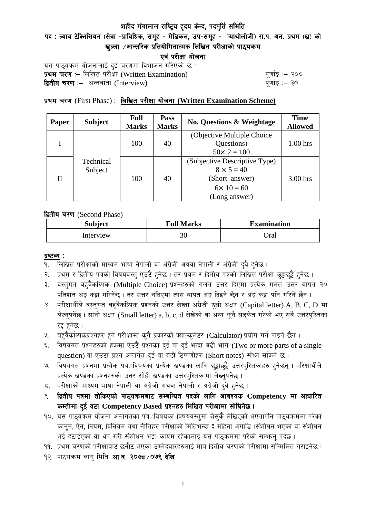## शहीद गंगालाल राष्ट्रिय हृदय केन्द, पदपुर्ति समिति

# पद : ल्याव टेक्निसियन (सेवा -प्राविधिक, समूह - मेडिकल, उप-समूह - प्याथोलोजी) रा.प. अन. प्रथम (ख) को खल्ला  $\ell$ आन्तरिक प्रतियोगितात्मक लिखित परीक्षाको पाठ्यक्रम

एवं परीक्षा योजना

यस पाठ्यक्रम योजनालाई दुई चरणमा विभाजन गरिएको छ : प्रथम चरण :- लिखित परीसा (Written Examination)  $\frac{d}{dx}$  and  $\frac{d}{dx}$  and  $\frac{d}{dx}$  are  $\frac{d}{dx}$ **द्वितीय चरण :–** अन्तर्वार्ता (Interview) k and the set of the set of the set of the set of the set of the set o

## प्रथम चरण (First Phase) : लिखित परीक्षा योजना (Written Examination Scheme)

| Paper | <b>Subject</b>       | Full<br><b>Marks</b> | Pass<br><b>Marks</b> | <b>No. Questions &amp; Weightage</b> | <b>Time</b><br><b>Allowed</b> |
|-------|----------------------|----------------------|----------------------|--------------------------------------|-------------------------------|
|       | Technical<br>Subject | 100                  | 40                   | (Objective Multiple Choice)          |                               |
|       |                      |                      |                      | Questions)                           | $1.00$ hrs                    |
|       |                      |                      |                      | $50 \times 2 = 100$                  |                               |
| H     |                      | 100                  | 40                   | (Subjective Descriptive Type)        |                               |
|       |                      |                      |                      | $8 \times 5 = 40$                    |                               |
|       |                      |                      |                      | (Short answer)                       | 3.00 hrs                      |
|       |                      |                      |                      | $6 \times 10 = 60$                   |                               |
|       |                      |                      |                      | (Long answer)                        |                               |

द्वितीय चरण (Second Phase)

| <b>Subject</b> | <b>Full Marks</b> | <b>Examination</b> |  |
|----------------|-------------------|--------------------|--|
| Interview      | 30                | )ral               |  |

#### द्रष्टव्य :

- १. लिखित परीक्षाको माध्यम भाषा नेपाली वा अंग्रेजी अथवा नेपाली र अंग्रेजी द्वै हुनेछ ।
- २. प्रथम र द्वितीय पत्रको विषयवस्त् एउटै हुनेछ । तर प्रथम र द्वितीय पत्रको लिखित परीक्षा छुट्टाछुट्टै हुनेछ ।
- ३. वस्तुगत बहुवैकल्पिक (Multiple Choice) प्रश्नहरुको गलत उत्तर दिएमा प्रत्येक गलत उत्तर बापत २० प्रतिशत अङ्ग कट्टा गरिनेछ । तर उत्तर नदिएमा त्यस बापत अङ्ग दिइने छैन र अङ्ग कट्टा पनि गरिने छैन ।
- ४. परीक्षार्थीले वस्तुगत बहुवैकल्पिक प्रश्नको उत्तर लेख्दा अंग्रेजी ठूलो अक्षर (Capital letter) A, B, C, D मा लेख्नुपर्नेछ । सानो अक्षर (Small letter) a, b, c, d लेखेको वा अन्य कुनै सङ्केत गरेको भए सबै उत्तरपुस्तिका रद्द हनेछ ।
- ५. वहवैकल्पिकप्रश्नहरु हुने परीक्षामा कुनै प्रकारको क्याल्कुलेटर (Calculator) प्रयोग गर्न पाइने छैन ।
- ६. विषयगत प्रश्नहरुको हकमा एउटै प्रश्नका दुई वा दुई भन्दा बढी भाग (Two or more parts of a single question) वा एउटा प्रश्न अन्तर्गत दई वा बढी टिप्पणीहरु (Short notes) सोध्न सकिने छ।
- ७. विषयगत प्रश्नमा प्रत्येक पत्र ∕विषयका प्रत्येक खण्डका लागि छट्टाछट्टै उत्तरपुस्तिकाहरु हुनेछन् । परिक्षार्थीले प्रत्येक खण्डका प्रश्नहरुको उत्तर सोही खण्डका उत्तरपुस्तिकामा लेख्नुपर्नेछ ।
- $\,$ द. परीक्षाको माध्यम भाषा नेपाली वा अंग्रेजी अथवा नेपाली र अंग्रेजी द्वै हुनेछ ।
- ९. द्वितीय पत्रमा तोकिएको पाठ्यक्रमबाट सम्बन्धित पदको लागि आवश्यक Competency मा आधारित कम्तीमा दई वटा Competency Based प्रश्नहरु लिखित परीक्षामा सोधिनेछ।
- $10.$  यस पाठ्यक्रम योजना अन्तर्गतका पत्र /विषयका विषयवस्तुमा जेसुकै लेखिएको भएतापनि पाठ्यक्रममा परेका कानून, ऐन, नियम, विनियम तथा नीतिहरु परीक्षाको मितिभन्दा ३ महिना अगाडि (संशोधन भएका वा संशोधन भई हटाईएका वा थप गरी संशोधन भई) कायम रहेकालाई यस पाठकममा परेको सम्भन्न पर्दछ ।
- ११. प्रथम चरणको परीक्षाबाट छनौट भएका उम्मेदवारहरुलाई मात्र द्वितीय चरणको परीक्षामा सम्मिलित गराइनेछ ।
- १२. पाठ्यक्रम लाग मिति :**आ.व. २०७८ ⁄ ०७९ देखि**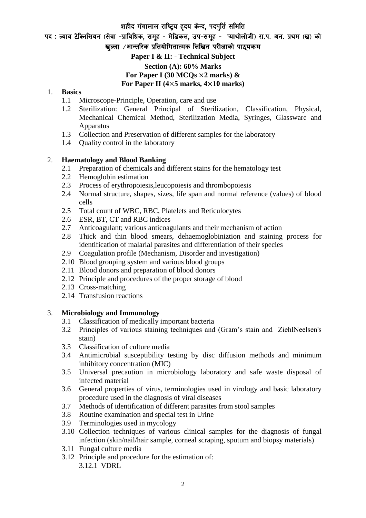#### शहीद गंगालाल राष्ट्रिय हृदय केन्द, पदपुर्ति समिति

पद : ल्याव टेक्निसियन (सेवा -प्राविधिक, समूह - मेडिकल, उप-समूह - प्याथोलोजी) रा.प. अन. प्रथम (ख) को खल्ला  $\ell$ आन्तरिक प्रतियोगितात्मक लिखित परीक्षाको पाठयक्रम

**Paper I & II: - Technical Subject Section (A): 60% Marks For Paper I (30 MCQs** ×**2 marks) &** 

# **For Paper II (4**×**5 marks, 4**×**10 marks)**

#### 1. **Basics**

- 1.1 Microscope-Principle, Operation, care and use
- 1.2 Sterilization: General Principal of Sterilization, Classification, Physical, Mechanical Chemical Method, Sterilization Media, Syringes, Glassware and Apparatus
- 1.3 Collection and Preservation of different samples for the laboratory
- 1.4 Quality control in the laboratory

## 2. **Haematology and Blood Banking**

- 2.1 Preparation of chemicals and different stains for the hematology test
- 2.2 Hemoglobin estimation
- 2.3 Process of erythropoiesis,leucopoiesis and thrombopoiesis
- 2.4 Normal structure, shapes, sizes, life span and normal reference (values) of blood cells
- 2.5 Total count of WBC, RBC, Platelets and Reticulocytes
- 2.6 ESR, BT, CT and RBC indices
- 2.7 Anticoagulant; various anticoagulants and their mechanism of action
- 2.8 Thick and thin blood smears, dehaemoglobiniztion and staining process for identification of malarial parasites and differentiation of their species
- 2.9 Coagulation profile (Mechanism, Disorder and investigation)
- 2.10 Blood grouping system and various blood groups
- 2.11 Blood donors and preparation of blood donors
- 2.12 Principle and procedures of the proper storage of blood
- 2.13 Cross-matching
- 2.14 Transfusion reactions

#### 3. **Microbiology and Immunology**

- 3.1 Classification of medically important bacteria
- 3.2 Principles of various staining techniques and (Gram's stain and ZiehlNeelsen's stain)
- 3.3 Classification of culture media
- 3.4 Antimicrobial susceptibility testing by disc diffusion methods and minimum inhibitory concentration (MIC)
- 3.5 Universal precaution in microbiology laboratory and safe waste disposal of infected material
- 3.6 General properties of virus, terminologies used in virology and basic laboratory procedure used in the diagnosis of viral diseases
- 3.7 Methods of identification of different parasites from stool samples
- 3.8 Routine examination and special test in Urine
- 3.9 Terminologies used in mycology
- 3.10 Collection techniques of various clinical samples for the diagnosis of fungal infection (skin/nail/hair sample, corneal scraping, sputum and biopsy materials)
- 3.11 Fungal culture media
- 3.12 Principle and procedure for the estimation of: 3.12.1 VDRL